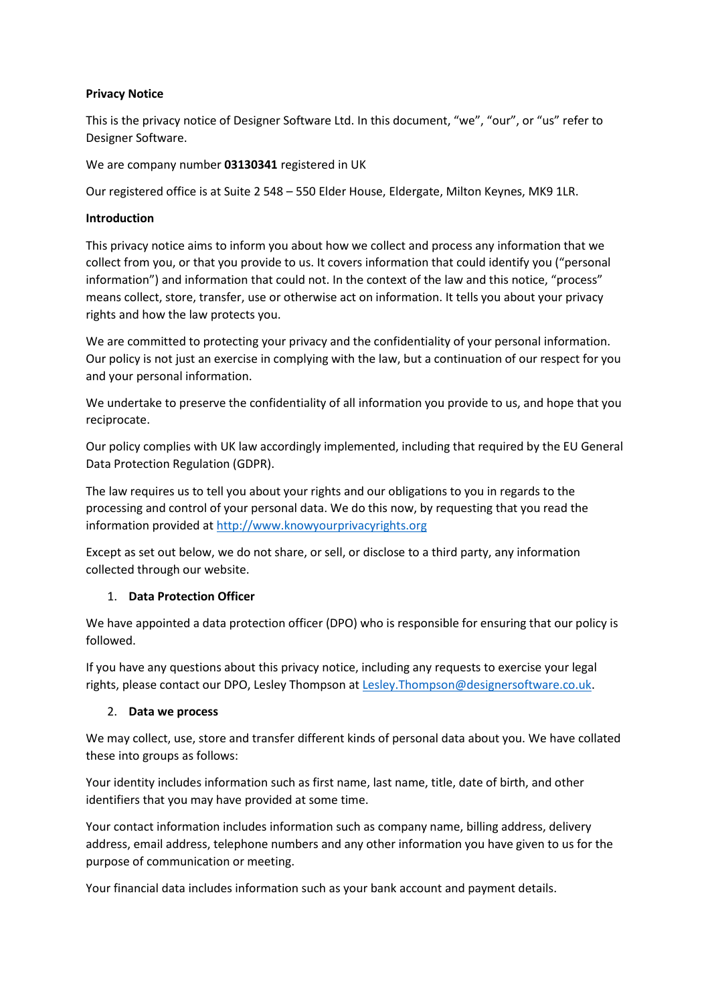### **Privacy Notice**

This is the privacy notice of Designer Software Ltd. In this document, "we", "our", or "us" refer to Designer Software.

We are company number **03130341** registered in UK

Our registered office is at Suite 2 548 – 550 Elder House, Eldergate, Milton Keynes, MK9 1LR.

#### **Introduction**

This privacy notice aims to inform you about how we collect and process any information that we collect from you, or that you provide to us. It covers information that could identify you ("personal information") and information that could not. In the context of the law and this notice, "process" means collect, store, transfer, use or otherwise act on information. It tells you about your privacy rights and how the law protects you.

We are committed to protecting your privacy and the confidentiality of your personal information. Our policy is not just an exercise in complying with the law, but a continuation of our respect for you and your personal information.

We undertake to preserve the confidentiality of all information you provide to us, and hope that you reciprocate.

Our policy complies with UK law accordingly implemented, including that required by the EU General Data Protection Regulation (GDPR).

The law requires us to tell you about your rights and our obligations to you in regards to the processing and control of your personal data. We do this now, by requesting that you read the information provided a[t http://www.knowyourprivacyrights.org](http://www.knowyourprivacyrights.org/)

Except as set out below, we do not share, or sell, or disclose to a third party, any information collected through our website.

## 1. **Data Protection Officer**

We have appointed a data protection officer (DPO) who is responsible for ensuring that our policy is followed.

If you have any questions about this privacy notice, including any requests to exercise your legal rights, please contact our DPO, Lesley Thompson at [Lesley.Thompson@designersoftware.co.uk.](mailto:Lesley.Thompson@designersoftware.co.uk)

#### 2. **Data we process**

We may collect, use, store and transfer different kinds of personal data about you. We have collated these into groups as follows:

Your identity includes information such as first name, last name, title, date of birth, and other identifiers that you may have provided at some time.

Your contact information includes information such as company name, billing address, delivery address, email address, telephone numbers and any other information you have given to us for the purpose of communication or meeting.

Your financial data includes information such as your bank account and payment details.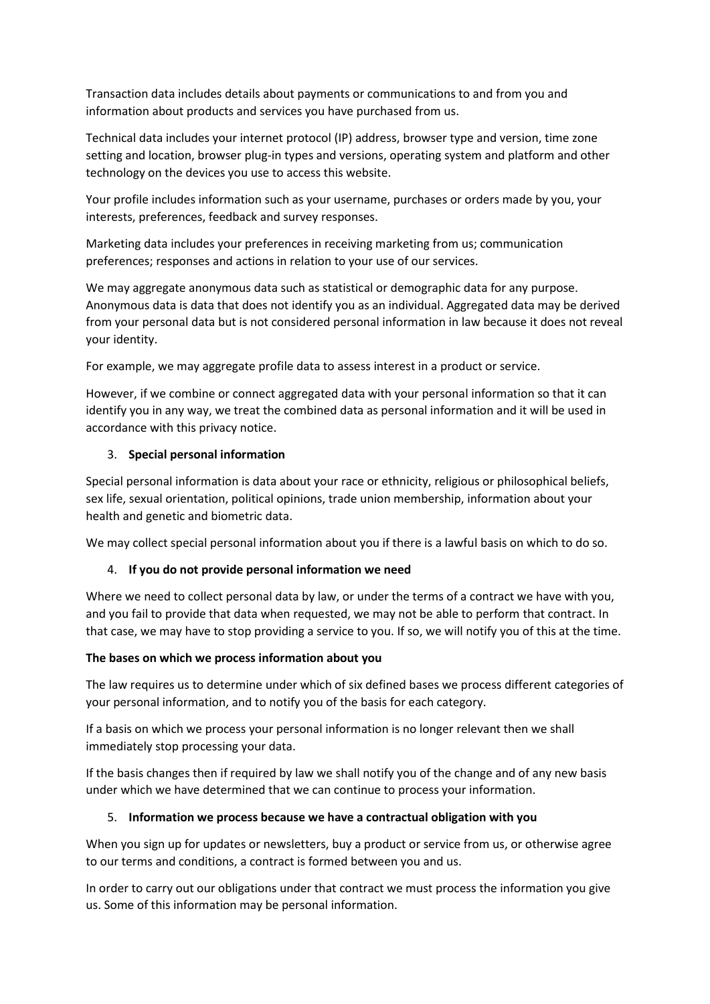Transaction data includes details about payments or communications to and from you and information about products and services you have purchased from us.

Technical data includes your internet protocol (IP) address, browser type and version, time zone setting and location, browser plug-in types and versions, operating system and platform and other technology on the devices you use to access this website.

Your profile includes information such as your username, purchases or orders made by you, your interests, preferences, feedback and survey responses.

Marketing data includes your preferences in receiving marketing from us; communication preferences; responses and actions in relation to your use of our services.

We may aggregate anonymous data such as statistical or demographic data for any purpose. Anonymous data is data that does not identify you as an individual. Aggregated data may be derived from your personal data but is not considered personal information in law because it does not reveal your identity.

For example, we may aggregate profile data to assess interest in a product or service.

However, if we combine or connect aggregated data with your personal information so that it can identify you in any way, we treat the combined data as personal information and it will be used in accordance with this privacy notice.

### 3. **Special personal information**

Special personal information is data about your race or ethnicity, religious or philosophical beliefs, sex life, sexual orientation, political opinions, trade union membership, information about your health and genetic and biometric data.

We may collect special personal information about you if there is a lawful basis on which to do so.

## 4. **If you do not provide personal information we need**

Where we need to collect personal data by law, or under the terms of a contract we have with you, and you fail to provide that data when requested, we may not be able to perform that contract. In that case, we may have to stop providing a service to you. If so, we will notify you of this at the time.

#### **The bases on which we process information about you**

The law requires us to determine under which of six defined bases we process different categories of your personal information, and to notify you of the basis for each category.

If a basis on which we process your personal information is no longer relevant then we shall immediately stop processing your data.

If the basis changes then if required by law we shall notify you of the change and of any new basis under which we have determined that we can continue to process your information.

## 5. **Information we process because we have a contractual obligation with you**

When you sign up for updates or newsletters, buy a product or service from us, or otherwise agree to our terms and conditions, a contract is formed between you and us.

In order to carry out our obligations under that contract we must process the information you give us. Some of this information may be personal information.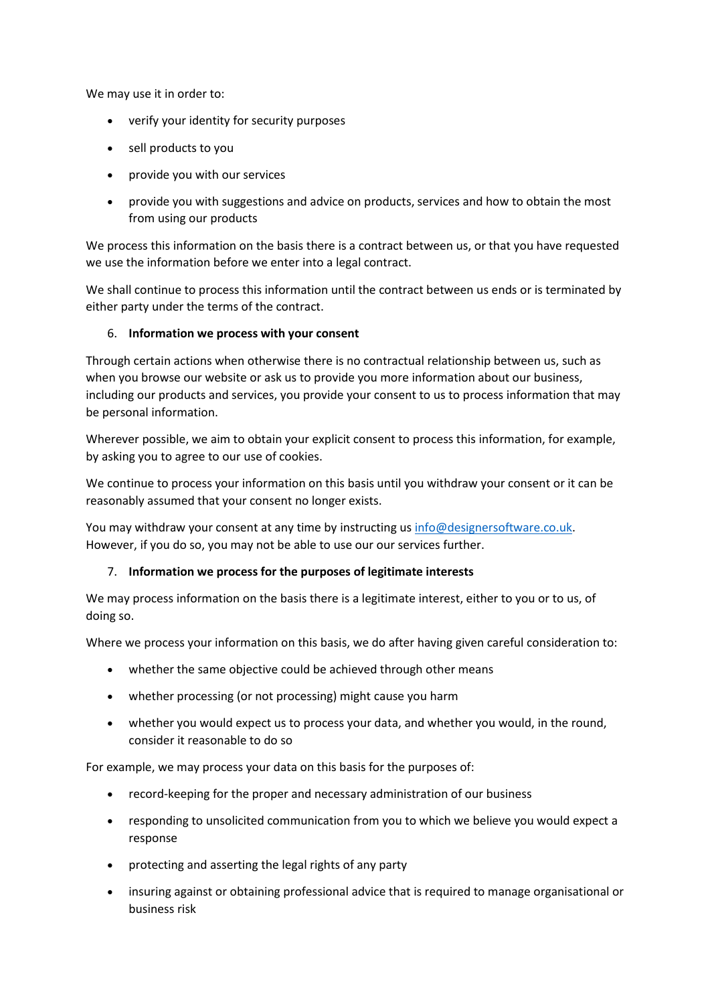We may use it in order to:

- verify your identity for security purposes
- sell products to you
- provide you with our services
- provide you with suggestions and advice on products, services and how to obtain the most from using our products

We process this information on the basis there is a contract between us, or that you have requested we use the information before we enter into a legal contract.

We shall continue to process this information until the contract between us ends or is terminated by either party under the terms of the contract.

### 6. **Information we process with your consent**

Through certain actions when otherwise there is no contractual relationship between us, such as when you browse our website or ask us to provide you more information about our business, including our products and services, you provide your consent to us to process information that may be personal information.

Wherever possible, we aim to obtain your explicit consent to process this information, for example, by asking you to agree to our use of cookies.

We continue to process your information on this basis until you withdraw your consent or it can be reasonably assumed that your consent no longer exists.

You may withdraw your consent at any time by instructing us [info@designersoftware.co.uk.](mailto:info@designersoftware.co.uk) However, if you do so, you may not be able to use our our services further.

#### 7. **Information we process for the purposes of legitimate interests**

We may process information on the basis there is a legitimate interest, either to you or to us, of doing so.

Where we process your information on this basis, we do after having given careful consideration to:

- whether the same objective could be achieved through other means
- whether processing (or not processing) might cause you harm
- whether you would expect us to process your data, and whether you would, in the round, consider it reasonable to do so

For example, we may process your data on this basis for the purposes of:

- record-keeping for the proper and necessary administration of our business
- responding to unsolicited communication from you to which we believe you would expect a response
- protecting and asserting the legal rights of any party
- insuring against or obtaining professional advice that is required to manage organisational or business risk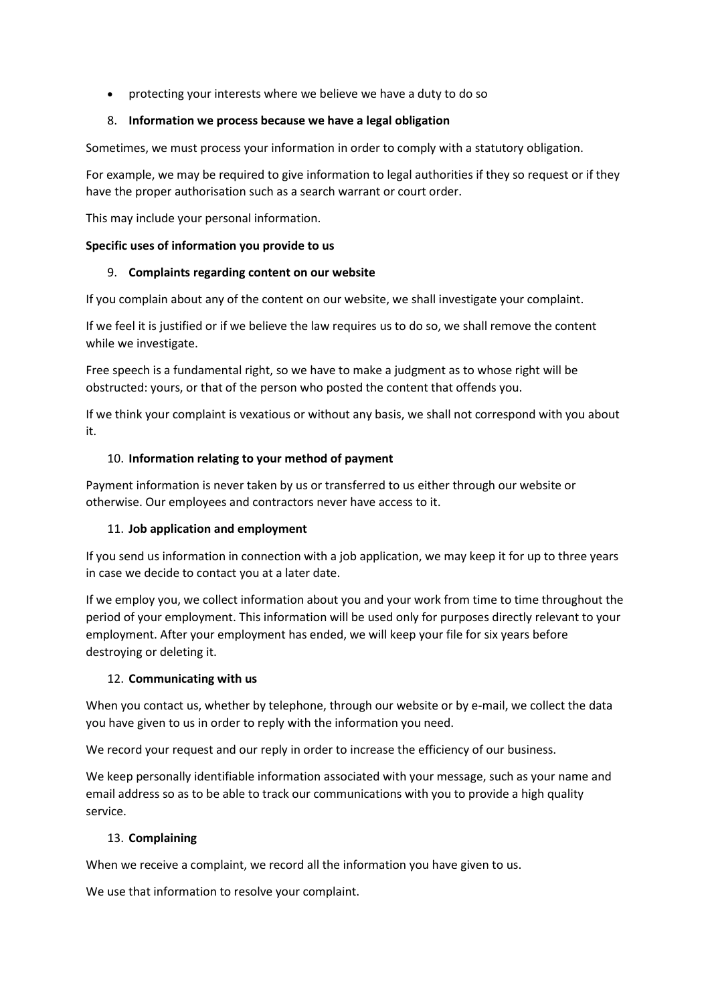• protecting your interests where we believe we have a duty to do so

### 8. **Information we process because we have a legal obligation**

Sometimes, we must process your information in order to comply with a statutory obligation.

For example, we may be required to give information to legal authorities if they so request or if they have the proper authorisation such as a search warrant or court order.

This may include your personal information.

### **Specific uses of information you provide to us**

### 9. **Complaints regarding content on our website**

If you complain about any of the content on our website, we shall investigate your complaint.

If we feel it is justified or if we believe the law requires us to do so, we shall remove the content while we investigate.

Free speech is a fundamental right, so we have to make a judgment as to whose right will be obstructed: yours, or that of the person who posted the content that offends you.

If we think your complaint is vexatious or without any basis, we shall not correspond with you about it.

## 10. **Information relating to your method of payment**

Payment information is never taken by us or transferred to us either through our website or otherwise. Our employees and contractors never have access to it.

## 11. **Job application and employment**

If you send us information in connection with a job application, we may keep it for up to three years in case we decide to contact you at a later date.

If we employ you, we collect information about you and your work from time to time throughout the period of your employment. This information will be used only for purposes directly relevant to your employment. After your employment has ended, we will keep your file for six years before destroying or deleting it.

## 12. **Communicating with us**

When you contact us, whether by telephone, through our website or by e-mail, we collect the data you have given to us in order to reply with the information you need.

We record your request and our reply in order to increase the efficiency of our business.

We keep personally identifiable information associated with your message, such as your name and email address so as to be able to track our communications with you to provide a high quality service.

#### 13. **Complaining**

When we receive a complaint, we record all the information you have given to us.

We use that information to resolve your complaint.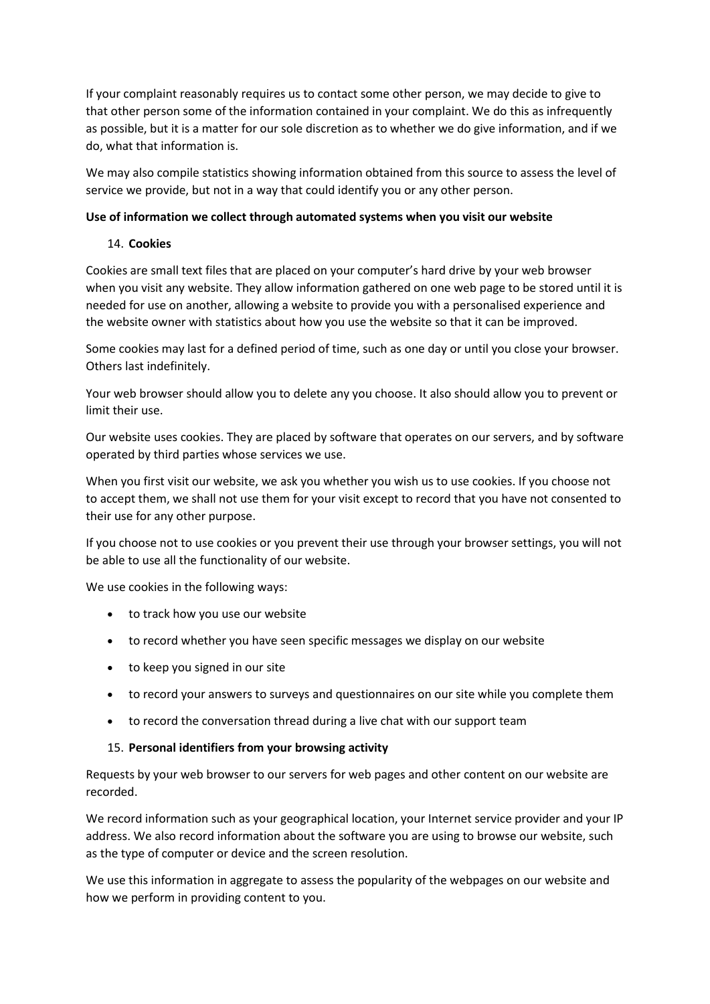If your complaint reasonably requires us to contact some other person, we may decide to give to that other person some of the information contained in your complaint. We do this as infrequently as possible, but it is a matter for our sole discretion as to whether we do give information, and if we do, what that information is.

We may also compile statistics showing information obtained from this source to assess the level of service we provide, but not in a way that could identify you or any other person.

#### **Use of information we collect through automated systems when you visit our website**

### 14. **Cookies**

Cookies are small text files that are placed on your computer's hard drive by your web browser when you visit any website. They allow information gathered on one web page to be stored until it is needed for use on another, allowing a website to provide you with a personalised experience and the website owner with statistics about how you use the website so that it can be improved.

Some cookies may last for a defined period of time, such as one day or until you close your browser. Others last indefinitely.

Your web browser should allow you to delete any you choose. It also should allow you to prevent or limit their use.

Our website uses cookies. They are placed by software that operates on our servers, and by software operated by third parties whose services we use.

When you first visit our website, we ask you whether you wish us to use cookies. If you choose not to accept them, we shall not use them for your visit except to record that you have not consented to their use for any other purpose.

If you choose not to use cookies or you prevent their use through your browser settings, you will not be able to use all the functionality of our website.

We use cookies in the following ways:

- to track how you use our website
- to record whether you have seen specific messages we display on our website
- to keep you signed in our site
- to record your answers to surveys and questionnaires on our site while you complete them
- to record the conversation thread during a live chat with our support team

#### 15. **Personal identifiers from your browsing activity**

Requests by your web browser to our servers for web pages and other content on our website are recorded.

We record information such as your geographical location, your Internet service provider and your IP address. We also record information about the software you are using to browse our website, such as the type of computer or device and the screen resolution.

We use this information in aggregate to assess the popularity of the webpages on our website and how we perform in providing content to you.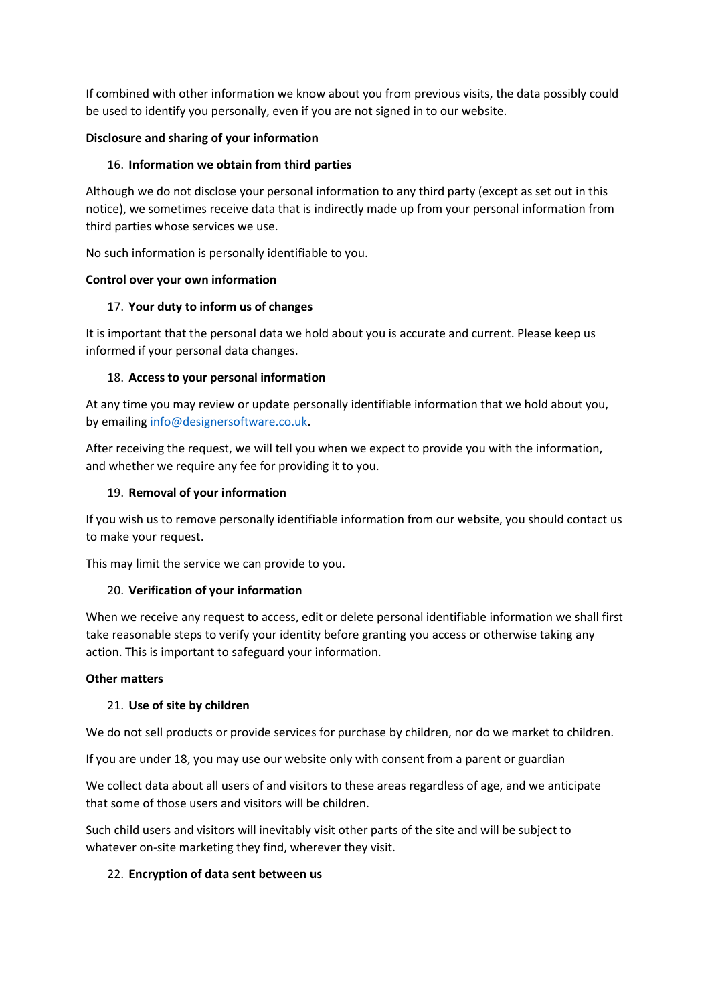If combined with other information we know about you from previous visits, the data possibly could be used to identify you personally, even if you are not signed in to our website.

## **Disclosure and sharing of your information**

## 16. **Information we obtain from third parties**

Although we do not disclose your personal information to any third party (except as set out in this notice), we sometimes receive data that is indirectly made up from your personal information from third parties whose services we use.

No such information is personally identifiable to you.

## **Control over your own information**

# 17. **Your duty to inform us of changes**

It is important that the personal data we hold about you is accurate and current. Please keep us informed if your personal data changes.

# 18. **Access to your personal information**

At any time you may review or update personally identifiable information that we hold about you, by emailing [info@designersoftware.co.uk.](mailto:info@designersoftware.co.uk)

After receiving the request, we will tell you when we expect to provide you with the information, and whether we require any fee for providing it to you.

# 19. **Removal of your information**

If you wish us to remove personally identifiable information from our website, you should contact us to make your request.

This may limit the service we can provide to you.

# 20. **Verification of your information**

When we receive any request to access, edit or delete personal identifiable information we shall first take reasonable steps to verify your identity before granting you access or otherwise taking any action. This is important to safeguard your information.

## **Other matters**

## 21. **Use of site by children**

We do not sell products or provide services for purchase by children, nor do we market to children.

If you are under 18, you may use our website only with consent from a parent or guardian

We collect data about all users of and visitors to these areas regardless of age, and we anticipate that some of those users and visitors will be children.

Such child users and visitors will inevitably visit other parts of the site and will be subject to whatever on-site marketing they find, wherever they visit.

## 22. **Encryption of data sent between us**